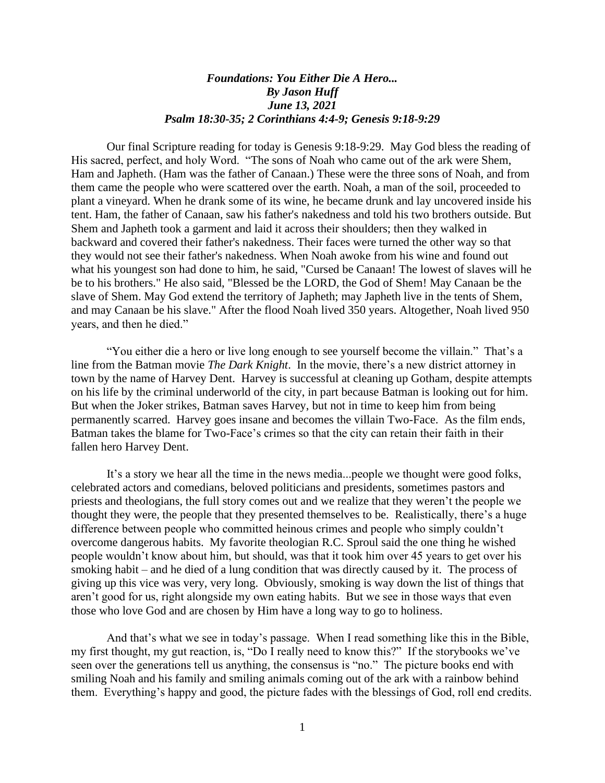## *Foundations: You Either Die A Hero... By Jason Huff June 13, 2021 Psalm 18:30-35; 2 Corinthians 4:4-9; Genesis 9:18-9:29*

Our final Scripture reading for today is Genesis 9:18-9:29. May God bless the reading of His sacred, perfect, and holy Word. "The sons of Noah who came out of the ark were Shem, Ham and Japheth. (Ham was the father of Canaan.) These were the three sons of Noah, and from them came the people who were scattered over the earth. Noah, a man of the soil, proceeded to plant a vineyard. When he drank some of its wine, he became drunk and lay uncovered inside his tent. Ham, the father of Canaan, saw his father's nakedness and told his two brothers outside. But Shem and Japheth took a garment and laid it across their shoulders; then they walked in backward and covered their father's nakedness. Their faces were turned the other way so that they would not see their father's nakedness. When Noah awoke from his wine and found out what his youngest son had done to him, he said, "Cursed be Canaan! The lowest of slaves will he be to his brothers." He also said, "Blessed be the LORD, the God of Shem! May Canaan be the slave of Shem. May God extend the territory of Japheth; may Japheth live in the tents of Shem, and may Canaan be his slave." After the flood Noah lived 350 years. Altogether, Noah lived 950 years, and then he died."

"You either die a hero or live long enough to see yourself become the villain." That's a line from the Batman movie *The Dark Knight*. In the movie, there's a new district attorney in town by the name of Harvey Dent. Harvey is successful at cleaning up Gotham, despite attempts on his life by the criminal underworld of the city, in part because Batman is looking out for him. But when the Joker strikes, Batman saves Harvey, but not in time to keep him from being permanently scarred. Harvey goes insane and becomes the villain Two-Face. As the film ends, Batman takes the blame for Two-Face's crimes so that the city can retain their faith in their fallen hero Harvey Dent.

It's a story we hear all the time in the news media...people we thought were good folks, celebrated actors and comedians, beloved politicians and presidents, sometimes pastors and priests and theologians, the full story comes out and we realize that they weren't the people we thought they were, the people that they presented themselves to be. Realistically, there's a huge difference between people who committed heinous crimes and people who simply couldn't overcome dangerous habits. My favorite theologian R.C. Sproul said the one thing he wished people wouldn't know about him, but should, was that it took him over 45 years to get over his smoking habit – and he died of a lung condition that was directly caused by it. The process of giving up this vice was very, very long. Obviously, smoking is way down the list of things that aren't good for us, right alongside my own eating habits. But we see in those ways that even those who love God and are chosen by Him have a long way to go to holiness.

And that's what we see in today's passage. When I read something like this in the Bible, my first thought, my gut reaction, is, "Do I really need to know this?" If the storybooks we've seen over the generations tell us anything, the consensus is "no." The picture books end with smiling Noah and his family and smiling animals coming out of the ark with a rainbow behind them. Everything's happy and good, the picture fades with the blessings of God, roll end credits.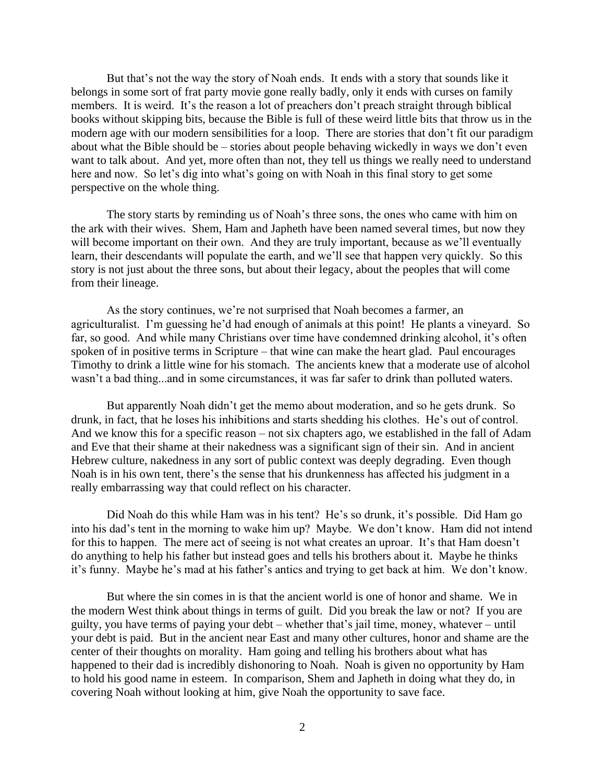But that's not the way the story of Noah ends. It ends with a story that sounds like it belongs in some sort of frat party movie gone really badly, only it ends with curses on family members. It is weird. It's the reason a lot of preachers don't preach straight through biblical books without skipping bits, because the Bible is full of these weird little bits that throw us in the modern age with our modern sensibilities for a loop. There are stories that don't fit our paradigm about what the Bible should be – stories about people behaving wickedly in ways we don't even want to talk about. And yet, more often than not, they tell us things we really need to understand here and now. So let's dig into what's going on with Noah in this final story to get some perspective on the whole thing.

The story starts by reminding us of Noah's three sons, the ones who came with him on the ark with their wives. Shem, Ham and Japheth have been named several times, but now they will become important on their own. And they are truly important, because as we'll eventually learn, their descendants will populate the earth, and we'll see that happen very quickly. So this story is not just about the three sons, but about their legacy, about the peoples that will come from their lineage.

As the story continues, we're not surprised that Noah becomes a farmer, an agriculturalist. I'm guessing he'd had enough of animals at this point! He plants a vineyard. So far, so good. And while many Christians over time have condemned drinking alcohol, it's often spoken of in positive terms in Scripture – that wine can make the heart glad. Paul encourages Timothy to drink a little wine for his stomach. The ancients knew that a moderate use of alcohol wasn't a bad thing...and in some circumstances, it was far safer to drink than polluted waters.

But apparently Noah didn't get the memo about moderation, and so he gets drunk. So drunk, in fact, that he loses his inhibitions and starts shedding his clothes. He's out of control. And we know this for a specific reason – not six chapters ago, we established in the fall of Adam and Eve that their shame at their nakedness was a significant sign of their sin. And in ancient Hebrew culture, nakedness in any sort of public context was deeply degrading. Even though Noah is in his own tent, there's the sense that his drunkenness has affected his judgment in a really embarrassing way that could reflect on his character.

Did Noah do this while Ham was in his tent? He's so drunk, it's possible. Did Ham go into his dad's tent in the morning to wake him up? Maybe. We don't know. Ham did not intend for this to happen. The mere act of seeing is not what creates an uproar. It's that Ham doesn't do anything to help his father but instead goes and tells his brothers about it. Maybe he thinks it's funny. Maybe he's mad at his father's antics and trying to get back at him. We don't know.

But where the sin comes in is that the ancient world is one of honor and shame. We in the modern West think about things in terms of guilt. Did you break the law or not? If you are guilty, you have terms of paying your debt – whether that's jail time, money, whatever – until your debt is paid. But in the ancient near East and many other cultures, honor and shame are the center of their thoughts on morality. Ham going and telling his brothers about what has happened to their dad is incredibly dishonoring to Noah. Noah is given no opportunity by Ham to hold his good name in esteem. In comparison, Shem and Japheth in doing what they do, in covering Noah without looking at him, give Noah the opportunity to save face.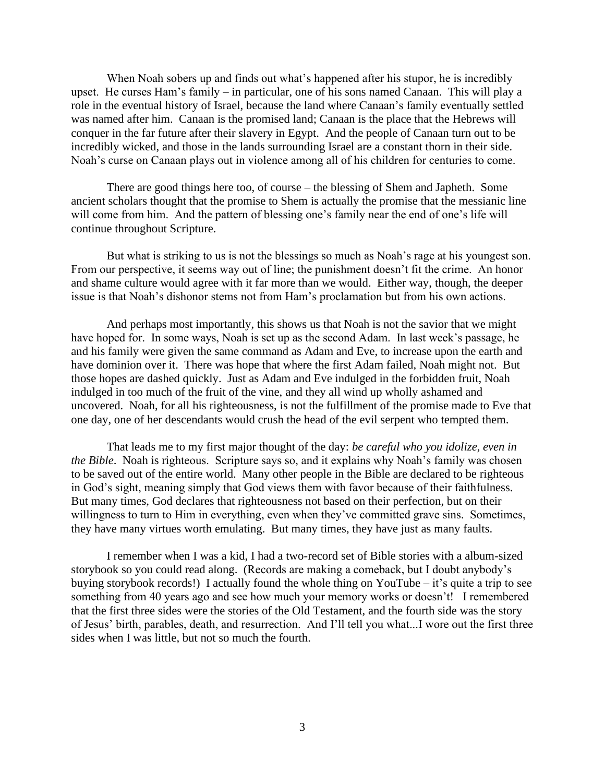When Noah sobers up and finds out what's happened after his stupor, he is incredibly upset. He curses Ham's family – in particular, one of his sons named Canaan. This will play a role in the eventual history of Israel, because the land where Canaan's family eventually settled was named after him. Canaan is the promised land; Canaan is the place that the Hebrews will conquer in the far future after their slavery in Egypt. And the people of Canaan turn out to be incredibly wicked, and those in the lands surrounding Israel are a constant thorn in their side. Noah's curse on Canaan plays out in violence among all of his children for centuries to come.

There are good things here too, of course – the blessing of Shem and Japheth. Some ancient scholars thought that the promise to Shem is actually the promise that the messianic line will come from him. And the pattern of blessing one's family near the end of one's life will continue throughout Scripture.

But what is striking to us is not the blessings so much as Noah's rage at his youngest son. From our perspective, it seems way out of line; the punishment doesn't fit the crime. An honor and shame culture would agree with it far more than we would. Either way, though, the deeper issue is that Noah's dishonor stems not from Ham's proclamation but from his own actions.

And perhaps most importantly, this shows us that Noah is not the savior that we might have hoped for. In some ways, Noah is set up as the second Adam. In last week's passage, he and his family were given the same command as Adam and Eve, to increase upon the earth and have dominion over it. There was hope that where the first Adam failed, Noah might not. But those hopes are dashed quickly. Just as Adam and Eve indulged in the forbidden fruit, Noah indulged in too much of the fruit of the vine, and they all wind up wholly ashamed and uncovered. Noah, for all his righteousness, is not the fulfillment of the promise made to Eve that one day, one of her descendants would crush the head of the evil serpent who tempted them.

That leads me to my first major thought of the day: *be careful who you idolize, even in the Bible*. Noah is righteous. Scripture says so, and it explains why Noah's family was chosen to be saved out of the entire world. Many other people in the Bible are declared to be righteous in God's sight, meaning simply that God views them with favor because of their faithfulness. But many times, God declares that righteousness not based on their perfection, but on their willingness to turn to Him in everything, even when they've committed grave sins. Sometimes, they have many virtues worth emulating. But many times, they have just as many faults.

I remember when I was a kid, I had a two-record set of Bible stories with a album-sized storybook so you could read along. (Records are making a comeback, but I doubt anybody's buying storybook records!) I actually found the whole thing on YouTube – it's quite a trip to see something from 40 years ago and see how much your memory works or doesn't! I remembered that the first three sides were the stories of the Old Testament, and the fourth side was the story of Jesus' birth, parables, death, and resurrection. And I'll tell you what...I wore out the first three sides when I was little, but not so much the fourth.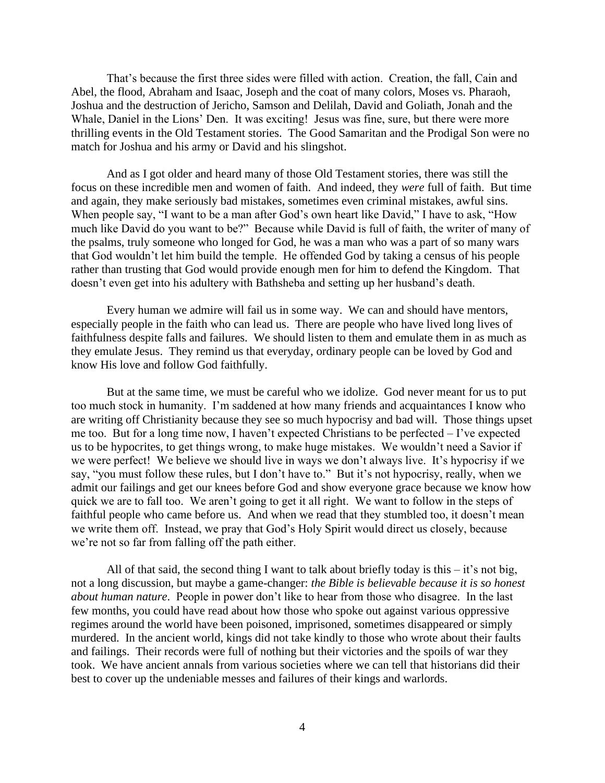That's because the first three sides were filled with action. Creation, the fall, Cain and Abel, the flood, Abraham and Isaac, Joseph and the coat of many colors, Moses vs. Pharaoh, Joshua and the destruction of Jericho, Samson and Delilah, David and Goliath, Jonah and the Whale, Daniel in the Lions' Den. It was exciting! Jesus was fine, sure, but there were more thrilling events in the Old Testament stories. The Good Samaritan and the Prodigal Son were no match for Joshua and his army or David and his slingshot.

And as I got older and heard many of those Old Testament stories, there was still the focus on these incredible men and women of faith. And indeed, they *were* full of faith. But time and again, they make seriously bad mistakes, sometimes even criminal mistakes, awful sins. When people say, "I want to be a man after God's own heart like David," I have to ask, "How much like David do you want to be?" Because while David is full of faith, the writer of many of the psalms, truly someone who longed for God, he was a man who was a part of so many wars that God wouldn't let him build the temple. He offended God by taking a census of his people rather than trusting that God would provide enough men for him to defend the Kingdom. That doesn't even get into his adultery with Bathsheba and setting up her husband's death.

Every human we admire will fail us in some way. We can and should have mentors, especially people in the faith who can lead us. There are people who have lived long lives of faithfulness despite falls and failures. We should listen to them and emulate them in as much as they emulate Jesus. They remind us that everyday, ordinary people can be loved by God and know His love and follow God faithfully.

But at the same time, we must be careful who we idolize. God never meant for us to put too much stock in humanity. I'm saddened at how many friends and acquaintances I know who are writing off Christianity because they see so much hypocrisy and bad will. Those things upset me too. But for a long time now, I haven't expected Christians to be perfected – I've expected us to be hypocrites, to get things wrong, to make huge mistakes. We wouldn't need a Savior if we were perfect! We believe we should live in ways we don't always live. It's hypocrisy if we say, "you must follow these rules, but I don't have to." But it's not hypocrisy, really, when we admit our failings and get our knees before God and show everyone grace because we know how quick we are to fall too. We aren't going to get it all right. We want to follow in the steps of faithful people who came before us. And when we read that they stumbled too, it doesn't mean we write them off. Instead, we pray that God's Holy Spirit would direct us closely, because we're not so far from falling off the path either.

All of that said, the second thing I want to talk about briefly today is this  $-i\dot{t}$  s not big, not a long discussion, but maybe a game-changer: *the Bible is believable because it is so honest about human nature*. People in power don't like to hear from those who disagree. In the last few months, you could have read about how those who spoke out against various oppressive regimes around the world have been poisoned, imprisoned, sometimes disappeared or simply murdered. In the ancient world, kings did not take kindly to those who wrote about their faults and failings. Their records were full of nothing but their victories and the spoils of war they took. We have ancient annals from various societies where we can tell that historians did their best to cover up the undeniable messes and failures of their kings and warlords.